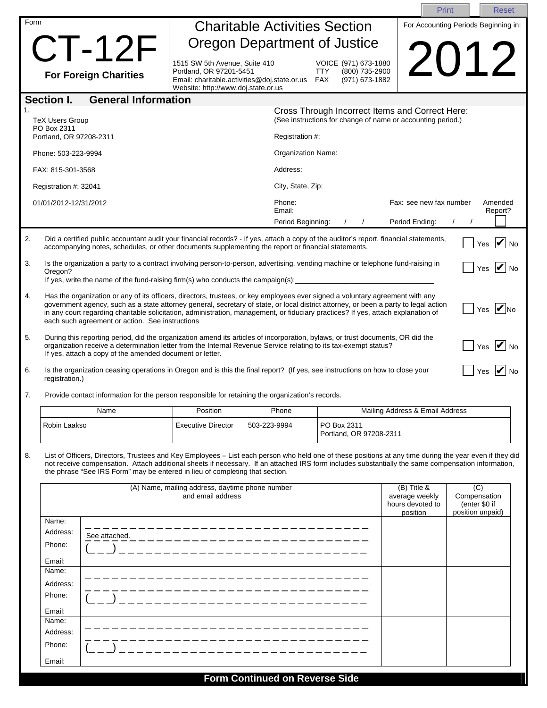|          |                                                                                                                                                                                                                                                                                                                                                                                                                                                                                                                                                                                                                                                                                                                                                            |                                                                                                                                                                                                                                               |                                                                                                                                                        |                    |                                                                                                                | Print                                                           |                                                          | <b>Reset</b>                             |
|----------|------------------------------------------------------------------------------------------------------------------------------------------------------------------------------------------------------------------------------------------------------------------------------------------------------------------------------------------------------------------------------------------------------------------------------------------------------------------------------------------------------------------------------------------------------------------------------------------------------------------------------------------------------------------------------------------------------------------------------------------------------------|-----------------------------------------------------------------------------------------------------------------------------------------------------------------------------------------------------------------------------------------------|--------------------------------------------------------------------------------------------------------------------------------------------------------|--------------------|----------------------------------------------------------------------------------------------------------------|-----------------------------------------------------------------|----------------------------------------------------------|------------------------------------------|
| Form     | <b>Charitable Activities Section</b>                                                                                                                                                                                                                                                                                                                                                                                                                                                                                                                                                                                                                                                                                                                       |                                                                                                                                                                                                                                               |                                                                                                                                                        |                    | For Accounting Periods Beginning in:                                                                           |                                                                 |                                                          |                                          |
|          | $CT-12F$                                                                                                                                                                                                                                                                                                                                                                                                                                                                                                                                                                                                                                                                                                                                                   |                                                                                                                                                                                                                                               | <b>Oregon Department of Justice</b>                                                                                                                    |                    |                                                                                                                |                                                                 |                                                          |                                          |
|          |                                                                                                                                                                                                                                                                                                                                                                                                                                                                                                                                                                                                                                                                                                                                                            | <b>For Foreign Charities</b>                                                                                                                                                                                                                  | 1515 SW 5th Avenue, Suite 410<br>Portland, OR 97201-5451<br>Email: charitable.activities@doj.state.or.us    FAX<br>Website: http://www.doj.state.or.us |                    | VOICE (971) 673-1880<br>(800) 735-2900<br><b>TTY</b><br>(971) 673-1882                                         | 2012                                                            |                                                          |                                          |
|          | Section I.                                                                                                                                                                                                                                                                                                                                                                                                                                                                                                                                                                                                                                                                                                                                                 | <b>General Information</b>                                                                                                                                                                                                                    |                                                                                                                                                        |                    |                                                                                                                |                                                                 |                                                          |                                          |
|          | <b>TeX Users Group</b><br>PO Box 2311<br>Portland, OR 97208-2311                                                                                                                                                                                                                                                                                                                                                                                                                                                                                                                                                                                                                                                                                           |                                                                                                                                                                                                                                               |                                                                                                                                                        | Registration #:    | Cross Through Incorrect Items and Correct Here:<br>(See instructions for change of name or accounting period.) |                                                                 |                                                          |                                          |
|          | Phone: 503-223-9994                                                                                                                                                                                                                                                                                                                                                                                                                                                                                                                                                                                                                                                                                                                                        |                                                                                                                                                                                                                                               |                                                                                                                                                        | Organization Name: |                                                                                                                |                                                                 |                                                          |                                          |
|          | FAX: 815-301-3568                                                                                                                                                                                                                                                                                                                                                                                                                                                                                                                                                                                                                                                                                                                                          |                                                                                                                                                                                                                                               |                                                                                                                                                        | Address:           |                                                                                                                |                                                                 |                                                          |                                          |
|          |                                                                                                                                                                                                                                                                                                                                                                                                                                                                                                                                                                                                                                                                                                                                                            |                                                                                                                                                                                                                                               |                                                                                                                                                        | City, State, Zip:  |                                                                                                                |                                                                 |                                                          |                                          |
|          | Registration #: 32041                                                                                                                                                                                                                                                                                                                                                                                                                                                                                                                                                                                                                                                                                                                                      |                                                                                                                                                                                                                                               |                                                                                                                                                        |                    |                                                                                                                |                                                                 |                                                          |                                          |
|          | 01/01/2012-12/31/2012                                                                                                                                                                                                                                                                                                                                                                                                                                                                                                                                                                                                                                                                                                                                      |                                                                                                                                                                                                                                               |                                                                                                                                                        | Phone:<br>Email:   |                                                                                                                | Fax: see new fax number                                         |                                                          | Amended<br>Report?                       |
|          |                                                                                                                                                                                                                                                                                                                                                                                                                                                                                                                                                                                                                                                                                                                                                            |                                                                                                                                                                                                                                               |                                                                                                                                                        | Period Beginning:  |                                                                                                                | Period Ending:                                                  |                                                          |                                          |
| 2.       |                                                                                                                                                                                                                                                                                                                                                                                                                                                                                                                                                                                                                                                                                                                                                            | Did a certified public accountant audit your financial records? - If yes, attach a copy of the auditor's report, financial statements,<br>accompanying notes, schedules, or other documents supplementing the report or financial statements. |                                                                                                                                                        |                    |                                                                                                                |                                                                 |                                                          | Yes $ $ No                               |
| 3.       | Oregon?                                                                                                                                                                                                                                                                                                                                                                                                                                                                                                                                                                                                                                                                                                                                                    | Is the organization a party to a contract involving person-to-person, advertising, vending machine or telephone fund-raising in<br>If yes, write the name of the fund-raising firm(s) who conducts the campaign(s):                           |                                                                                                                                                        |                    |                                                                                                                |                                                                 |                                                          | Yes $\overline{\mathbf{V}}$<br><b>No</b> |
| 4.<br>5. | Has the organization or any of its officers, directors, trustees, or key employees ever signed a voluntary agreement with any<br>government agency, such as a state attorney general, secretary of state, or local district attorney, or been a party to legal action<br>Yes $ $ No<br>in any court regarding charitable solicitation, administration, management, or fiduciary practices? If yes, attach explanation of<br>each such agreement or action. See instructions<br>During this reporting period, did the organization amend its articles of incorporation, bylaws, or trust documents, OR did the<br>Yes $\blacksquare$ No<br>organization receive a determination letter from the Internal Revenue Service relating to its tax-exempt status? |                                                                                                                                                                                                                                               |                                                                                                                                                        |                    |                                                                                                                |                                                                 |                                                          |                                          |
| 6.       |                                                                                                                                                                                                                                                                                                                                                                                                                                                                                                                                                                                                                                                                                                                                                            | If yes, attach a copy of the amended document or letter.<br>Is the organization ceasing operations in Oregon and is this the final report? (If yes, see instructions on how to close your                                                     |                                                                                                                                                        |                    |                                                                                                                |                                                                 |                                                          | Yes $\mathbf V$                          |
| 7.       | registration.)                                                                                                                                                                                                                                                                                                                                                                                                                                                                                                                                                                                                                                                                                                                                             | Provide contact information for the person responsible for retaining the organization's records.                                                                                                                                              |                                                                                                                                                        |                    |                                                                                                                |                                                                 |                                                          |                                          |
|          |                                                                                                                                                                                                                                                                                                                                                                                                                                                                                                                                                                                                                                                                                                                                                            | Name                                                                                                                                                                                                                                          | Position                                                                                                                                               | Phone              |                                                                                                                | Mailing Address & Email Address                                 |                                                          |                                          |
|          | Robin Laakso                                                                                                                                                                                                                                                                                                                                                                                                                                                                                                                                                                                                                                                                                                                                               |                                                                                                                                                                                                                                               | <b>Executive Director</b>                                                                                                                              | 503-223-9994       | PO Box 2311<br>Portland, OR 97208-2311                                                                         |                                                                 |                                                          |                                          |
| 8.       | List of Officers, Directors, Trustees and Key Employees - List each person who held one of these positions at any time during the year even if they did<br>not receive compensation. Attach additional sheets if necessary. If an attached IRS form includes substantially the same compensation information,<br>the phrase "See IRS Form" may be entered in lieu of completing that section.                                                                                                                                                                                                                                                                                                                                                              |                                                                                                                                                                                                                                               |                                                                                                                                                        |                    |                                                                                                                |                                                                 |                                                          |                                          |
|          | (A) Name, mailing address, daytime phone number<br>and email address                                                                                                                                                                                                                                                                                                                                                                                                                                                                                                                                                                                                                                                                                       |                                                                                                                                                                                                                                               |                                                                                                                                                        |                    |                                                                                                                | $(B)$ Title &<br>average weekly<br>hours devoted to<br>position | (C)<br>Compensation<br>(enter \$0 if<br>position unpaid) |                                          |
|          | Name:<br>Address:                                                                                                                                                                                                                                                                                                                                                                                                                                                                                                                                                                                                                                                                                                                                          |                                                                                                                                                                                                                                               |                                                                                                                                                        |                    |                                                                                                                |                                                                 |                                                          |                                          |
|          | Phone:                                                                                                                                                                                                                                                                                                                                                                                                                                                                                                                                                                                                                                                                                                                                                     | See attached.                                                                                                                                                                                                                                 |                                                                                                                                                        |                    |                                                                                                                |                                                                 |                                                          |                                          |
|          | Email:                                                                                                                                                                                                                                                                                                                                                                                                                                                                                                                                                                                                                                                                                                                                                     |                                                                                                                                                                                                                                               |                                                                                                                                                        |                    |                                                                                                                |                                                                 |                                                          |                                          |
|          | Name:                                                                                                                                                                                                                                                                                                                                                                                                                                                                                                                                                                                                                                                                                                                                                      |                                                                                                                                                                                                                                               |                                                                                                                                                        |                    |                                                                                                                |                                                                 |                                                          |                                          |
|          | Address:                                                                                                                                                                                                                                                                                                                                                                                                                                                                                                                                                                                                                                                                                                                                                   |                                                                                                                                                                                                                                               |                                                                                                                                                        |                    |                                                                                                                |                                                                 |                                                          |                                          |
|          | Phone:                                                                                                                                                                                                                                                                                                                                                                                                                                                                                                                                                                                                                                                                                                                                                     |                                                                                                                                                                                                                                               |                                                                                                                                                        |                    |                                                                                                                |                                                                 |                                                          |                                          |
|          | Email:                                                                                                                                                                                                                                                                                                                                                                                                                                                                                                                                                                                                                                                                                                                                                     |                                                                                                                                                                                                                                               |                                                                                                                                                        |                    |                                                                                                                |                                                                 |                                                          |                                          |
|          | Name:<br>Address:                                                                                                                                                                                                                                                                                                                                                                                                                                                                                                                                                                                                                                                                                                                                          |                                                                                                                                                                                                                                               |                                                                                                                                                        |                    |                                                                                                                |                                                                 |                                                          |                                          |
|          | Phone:                                                                                                                                                                                                                                                                                                                                                                                                                                                                                                                                                                                                                                                                                                                                                     |                                                                                                                                                                                                                                               |                                                                                                                                                        |                    |                                                                                                                |                                                                 |                                                          |                                          |
|          | Email:                                                                                                                                                                                                                                                                                                                                                                                                                                                                                                                                                                                                                                                                                                                                                     |                                                                                                                                                                                                                                               |                                                                                                                                                        |                    |                                                                                                                |                                                                 |                                                          |                                          |
|          |                                                                                                                                                                                                                                                                                                                                                                                                                                                                                                                                                                                                                                                                                                                                                            |                                                                                                                                                                                                                                               |                                                                                                                                                        |                    |                                                                                                                |                                                                 |                                                          |                                          |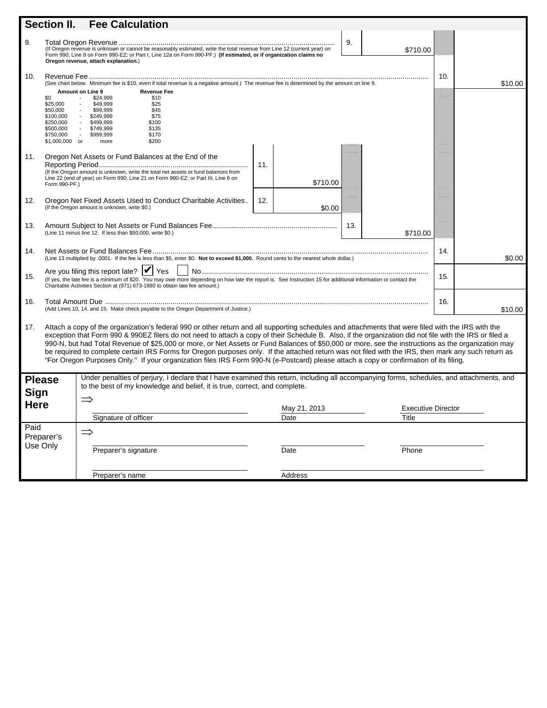|                                      | Section II.                                                                                                                                                                                                                                                                                                                                                                                                                                                                                                                                                                                                                                                                                                                                                          | <b>Fee Calculation</b>                                                                                                                                                                                                                                                                                                                                             |                      |                                    |     |         |  |  |
|--------------------------------------|----------------------------------------------------------------------------------------------------------------------------------------------------------------------------------------------------------------------------------------------------------------------------------------------------------------------------------------------------------------------------------------------------------------------------------------------------------------------------------------------------------------------------------------------------------------------------------------------------------------------------------------------------------------------------------------------------------------------------------------------------------------------|--------------------------------------------------------------------------------------------------------------------------------------------------------------------------------------------------------------------------------------------------------------------------------------------------------------------------------------------------------------------|----------------------|------------------------------------|-----|---------|--|--|
| 9.                                   |                                                                                                                                                                                                                                                                                                                                                                                                                                                                                                                                                                                                                                                                                                                                                                      | Form 990; Line 9 on Form 990-EZ; or Part I, Line 12a on Form 990-PF.) (If estimated, or if organization claims no<br>Oregon revenue, attach explanation.)                                                                                                                                                                                                          |                      | 9.<br>\$710.00                     |     |         |  |  |
| 10.                                  | \$0<br>\$25,000<br>\$50,000<br>\$100,000<br>\$250,000<br>\$500,000<br>\$750,000<br>\$1,000,000 or                                                                                                                                                                                                                                                                                                                                                                                                                                                                                                                                                                                                                                                                    | (See chart below. Minimum fee is \$10, even if total revenue is a negative amount.) The revenue fee is determined by the amount on line 9.<br>Amount on Line 9<br><b>Revenue Fee</b><br>\$24,999<br>\$10<br>\$49,999<br>\$25<br>\$99.999<br>\$45<br>\$75<br>\$249,999<br>\$100<br>\$499.999<br>\$135<br>\$749,999<br>$\sim$<br>\$999,999<br>\$170<br>\$200<br>more |                      |                                    | 10. | \$10.00 |  |  |
| 11.                                  | Form 990-PF.)                                                                                                                                                                                                                                                                                                                                                                                                                                                                                                                                                                                                                                                                                                                                                        | Oregon Net Assets or Fund Balances at the End of the<br>(If the Oregon amount is unknown, write the total net assets or fund balances from<br>Line 22 (end of year) on Form 990; Line 21 on Form 990-EZ; or Part III, Line 6 on                                                                                                                                    | 11.<br>\$710.00      |                                    |     |         |  |  |
| 12.                                  |                                                                                                                                                                                                                                                                                                                                                                                                                                                                                                                                                                                                                                                                                                                                                                      | Oregon Net Fixed Assets Used to Conduct Charitable Activities.<br>(If the Oregon amount is unknown, write \$0.)                                                                                                                                                                                                                                                    | 12.<br>\$0.00        |                                    |     |         |  |  |
| 13.                                  |                                                                                                                                                                                                                                                                                                                                                                                                                                                                                                                                                                                                                                                                                                                                                                      | (Line 11 minus line 12. If less than \$50,000, write \$0.)                                                                                                                                                                                                                                                                                                         |                      | 13.<br>\$710.00                    |     |         |  |  |
| 14.                                  |                                                                                                                                                                                                                                                                                                                                                                                                                                                                                                                                                                                                                                                                                                                                                                      | (Line 13 multiplied by .0001. If the fee is less than \$5, enter \$0. Not to exceed \$1,000. Round cents to the nearest whole dollar.)                                                                                                                                                                                                                             |                      |                                    | 14. | \$0.00  |  |  |
| 15.                                  | Are you filing this report late? $\triangleright$ Yes<br>15.<br>(If yes, the late fee is a minimum of \$20. You may owe more depending on how late the report is. See Instruction 15 for additional information or contact the<br>Charitable Activities Section at (971) 673-1880 to obtain late fee amount.)                                                                                                                                                                                                                                                                                                                                                                                                                                                        |                                                                                                                                                                                                                                                                                                                                                                    |                      |                                    |     |         |  |  |
| 16.                                  | (Add Lines 10, 14, and 15. Make check payable to the Oregon Department of Justice.)                                                                                                                                                                                                                                                                                                                                                                                                                                                                                                                                                                                                                                                                                  |                                                                                                                                                                                                                                                                                                                                                                    |                      |                                    | 16. | \$10.00 |  |  |
| 17.                                  | Attach a copy of the organization's federal 990 or other return and all supporting schedules and attachments that were filed with the IRS with the<br>exception that Form 990 & 990EZ filers do not need to attach a copy of their Schedule B. Also, if the organization did not file with the IRS or filed a<br>990-N, but had Total Revenue of \$25,000 or more, or Net Assets or Fund Balances of \$50,000 or more, see the instructions as the organization may<br>be required to complete certain IRS Forms for Oregon purposes only. If the attached return was not filed with the IRS, then mark any such return as<br>"For Oregon Purposes Only." If your organization files IRS Form 990-N (e-Postcard) please attach a copy or confirmation of its filing. |                                                                                                                                                                                                                                                                                                                                                                    |                      |                                    |     |         |  |  |
| <b>Please</b><br>Sign<br><b>Here</b> |                                                                                                                                                                                                                                                                                                                                                                                                                                                                                                                                                                                                                                                                                                                                                                      | Under penalties of perjury, I declare that I have examined this return, including all accompanying forms, schedules, and attachments, and<br>to the best of my knowledge and belief, it is true, correct, and complete.                                                                                                                                            |                      |                                    |     |         |  |  |
|                                      |                                                                                                                                                                                                                                                                                                                                                                                                                                                                                                                                                                                                                                                                                                                                                                      | Signature of officer                                                                                                                                                                                                                                                                                                                                               | May 21, 2013<br>Date | <b>Executive Director</b><br>Title |     |         |  |  |
| Paid<br>Use Only                     | Preparer's                                                                                                                                                                                                                                                                                                                                                                                                                                                                                                                                                                                                                                                                                                                                                           | $\Rightarrow$                                                                                                                                                                                                                                                                                                                                                      |                      |                                    |     |         |  |  |
|                                      |                                                                                                                                                                                                                                                                                                                                                                                                                                                                                                                                                                                                                                                                                                                                                                      | Preparer's signature                                                                                                                                                                                                                                                                                                                                               | Date                 | Phone                              |     |         |  |  |
|                                      |                                                                                                                                                                                                                                                                                                                                                                                                                                                                                                                                                                                                                                                                                                                                                                      | Preparer's name                                                                                                                                                                                                                                                                                                                                                    | Address              |                                    |     |         |  |  |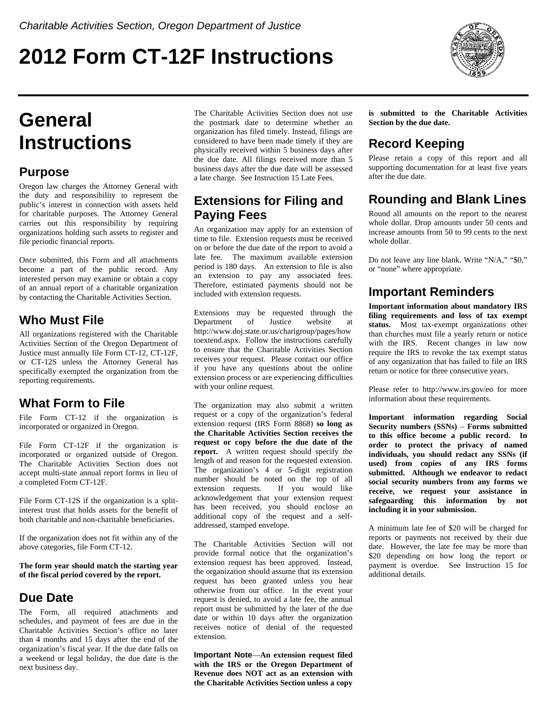# **2012 Form CT-12F Instructions**



# **General Instructions**

### **Purpose**

Oregon law charges the Attorney General with the duty and responsibility to represent the public's interest in connection with assets held for charitable purposes. The Attorney General carries out this responsibility by requiring organizations holding such assets to register and file periodic financial reports.

Once submitted, this Form and all attachments become a part of the public record. Any interested person may examine or obtain a copy of an annual report of a charitable organization by contacting the Charitable Activities Section.

# **Who Must File**

All organizations registered with the Charitable Activities Section of the Oregon Department of Justice must annually file Form CT-12, CT-12F, or CT-12S unless the Attorney General has specifically exempted the organization from the reporting requirements.

### **What Form to File**

File Form CT-12 if the organization is incorporated or organized in Oregon.

File Form CT-12F if the organization is incorporated or organized outside of Oregon. The Charitable Activities Section does not accept multi-state annual report forms in lieu of a completed Form CT-12F.

File Form CT-12S if the organization is a splitinterest trust that holds assets for the benefit of both charitable and non-charitable beneficiaries.

If the organization does not fit within any of the above categories, file Form CT-12.

**The form year should match the starting year of the fiscal period covered by the report.** 

### **Due Date**

The Form, all required attachments and schedules, and payment of fees are due in the Charitable Activities Section's office no later than 4 months and 15 days after the end of the organization's fiscal year. If the due date falls on a weekend or legal holiday, the due date is the next business day.

The Charitable Activities Section does not use the postmark date to determine whether an organization has filed timely. Instead, filings are considered to have been made timely if they are physically received within 5 business days after the due date. All filings received more than 5 business days after the due date will be assessed a late charge. See Instruction 15 Late Fees.

### **Extensions for Filing and Paying Fees**

An organization may apply for an extension of time to file. Extension requests must be received on or before the due date of the report to avoid a late fee. The maximum available extension period is 180 days. An extension to file is also an extension to pay any associated fees. Therefore, estimated payments should not be included with extension requests.

Extensions may be requested through the Department of Justice website at http://www.doj.state.or.us/charigroup/pages/how toextend.aspx. Follow the instructions carefully to ensure that the Charitable Activities Section receives your request. Please contact our office if you have any questions about the online extension process or are experiencing difficulties with your online request.

The organization may also submit a written request or a copy of the organization's federal extension request (IRS Form 8868) **so long as the Charitable Activities Section receives the request or copy before the due date of the report.** A written request should specify the length of and reason for the requested extension. The organization's 4 or 5-digit registration number should be noted on the top of all extension requests. If you would like acknowledgement that your extension request has been received, you should enclose an additional copy of the request and a selfaddressed, stamped envelope.

The Charitable Activities Section will not provide formal notice that the organization's extension request has been approved. Instead, the organization should assume that its extension request has been granted unless you hear otherwise from our office. In the event your request is denied, to avoid a late fee, the annual report must be submitted by the later of the due date or within 10 days after the organization receives notice of denial of the requested extension.

**Important Note**—**An extension request filed with the IRS or the Oregon Department of Revenue does NOT act as an extension with the Charitable Activities Section unless a copy**  **is submitted to the Charitable Activities Section by the due date.** 

# **Record Keeping**

Please retain a copy of this report and all supporting documentation for at least five years after the due date.

# **Rounding and Blank Lines**

Round all amounts on the report to the nearest whole dollar. Drop amounts under 50 cents and increase amounts from 50 to 99 cents to the next whole dollar.

Do not leave any line blank. Write "N/A," "\$0," or "none" where appropriate.

### **Important Reminders**

**Important information about mandatory IRS filing requirements and loss of tax exempt status.** Most tax-exempt organizations other than churches must file a yearly return or notice with the IRS. Recent changes in law now require the IRS to revoke the tax exempt status of any organization that has failed to file an IRS return or notice for three consecutive years.

Please refer to http://www.irs.gov/eo for more information about these requirements.

**Important information regarding Social Security numbers (SSNs)** – **Forms submitted to this office become a public record. In order to protect the privacy of named individuals, you should redact any SSNs (if used) from copies of any IRS forms submitted. Although we endeavor to redact social security numbers from any forms we receive, we request your assistance in safeguarding this information by not including it in your submission.**

A minimum late fee of \$20 will be charged for reports or payments not received by their due date. However, the late fee may be more than \$20 depending on how long the report or payment is overdue. See Instruction 15 for additional details.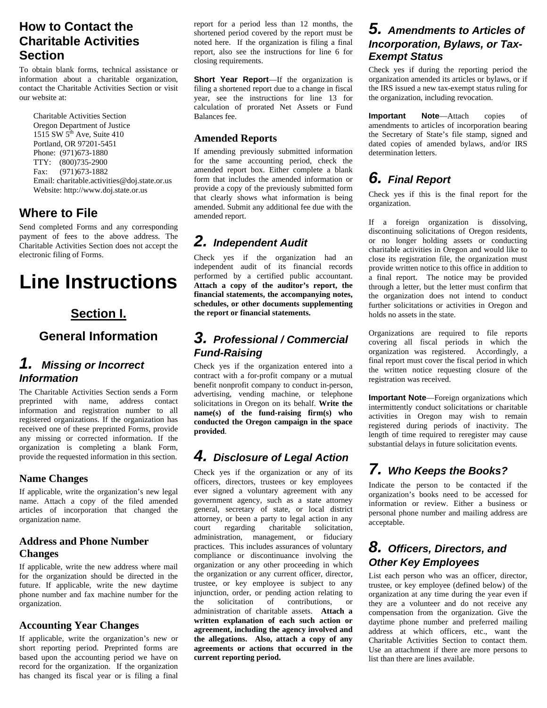## **How to Contact the Charitable Activities Section**

To obtain blank forms, technical assistance or information about a charitable organization, contact the Charitable Activities Section or visit our website at:

 Charitable Activities Section Oregon Department of Justice 1515 SW  $5<sup>th</sup>$  Ave, Suite 410 Portland, OR 97201-5451 Phone: (971)673-1880 TTY: (800)735-2900 Fax: (971)673-1882 Email: charitable.activities@doj.state.or.us Website: http://www.doj.state.or.us

### **Where to File**

Send completed Forms and any corresponding payment of fees to the above address. The Charitable Activities Section does not accept the electronic filing of Forms.

# **Line Instructions**

### **Section I.**

### **General Information**

### *1. Missing or Incorrect Information*

The Charitable Activities Section sends a Form preprinted with name, address contact information and registration number to all registered organizations. If the organization has received one of these preprinted Forms, provide any missing or corrected information. If the organization is completing a blank Form, provide the requested information in this section.

#### **Name Changes**

If applicable, write the organization's new legal name. Attach a copy of the filed amended articles of incorporation that changed the organization name.

#### **Address and Phone Number Changes**

If applicable, write the new address where mail for the organization should be directed in the future. If applicable, write the new daytime phone number and fax machine number for the organization.

#### **Accounting Year Changes**

If applicable, write the organization's new or short reporting period. Preprinted forms are based upon the accounting period we have on record for the organization. If the organization has changed its fiscal year or is filing a final report for a period less than 12 months, the shortened period covered by the report must be noted here. If the organization is filing a final report, also see the instructions for line 6 for closing requirements.

**Short Year Report**—If the organization is filing a shortened report due to a change in fiscal year, see the instructions for line 13 for calculation of prorated Net Assets or Fund Balances fee.

#### **Amended Reports**

If amending previously submitted information for the same accounting period, check the amended report box. Either complete a blank form that includes the amended information or provide a copy of the previously submitted form that clearly shows what information is being amended. Submit any additional fee due with the amended report.

# *2. Independent Audit*

Check yes if the organization had an independent audit of its financial records performed by a certified public accountant. **Attach a copy of the auditor's report, the financial statements, the accompanying notes, schedules, or other documents supplementing the report or financial statements.**

#### *3. Professional / Commercial Fund-Raising*

Check yes if the organization entered into a contract with a for-profit company or a mutual benefit nonprofit company to conduct in-person, advertising, vending machine, or telephone solicitations in Oregon on its behalf. **Write the name(s) of the fund-raising firm(s) who conducted the Oregon campaign in the space provided**.

### *4. Disclosure of Legal Action*

Check yes if the organization or any of its officers, directors, trustees or key employees ever signed a voluntary agreement with any government agency, such as a state attorney general, secretary of state, or local district attorney, or been a party to legal action in any court regarding charitable solicitation, administration, management, or fiduciary practices. This includes assurances of voluntary compliance or discontinuance involving the organization or any other proceeding in which the organization or any current officer, director, trustee, or key employee is subject to any injunction, order, or pending action relating to the solicitation of contributions, or administration of charitable assets. **Attach a written explanation of each such action or agreement, including the agency involved and the allegations. Also, attach a copy of any agreements or actions that occurred in the current reporting period.**

#### *5. Amendments to Articles of Incorporation, Bylaws, or Tax-Exempt Status*

Check yes if during the reporting period the organization amended its articles or bylaws, or if the IRS issued a new tax-exempt status ruling for the organization, including revocation.

**Important Note**—Attach copies of amendments to articles of incorporation bearing the Secretary of State's file stamp, signed and dated copies of amended bylaws, and/or IRS determination letters.

## *6. Final Report*

Check yes if this is the final report for the organization.

If a foreign organization is dissolving, discontinuing solicitations of Oregon residents, or no longer holding assets or conducting charitable activities in Oregon and would like to close its registration file, the organization must provide written notice to this office in addition to a final report. The notice may be provided through a letter, but the letter must confirm that the organization does not intend to conduct further solicitations or activities in Oregon and holds no assets in the state.

Organizations are required to file reports covering all fiscal periods in which the organization was registered. Accordingly, a final report must cover the fiscal period in which the written notice requesting closure of the registration was received.

**Important Note**—Foreign organizations which intermittently conduct solicitations or charitable activities in Oregon may wish to remain registered during periods of inactivity. The length of time required to reregister may cause substantial delays in future solicitation events.

# *7. Who Keeps the Books?*

Indicate the person to be contacted if the organization's books need to be accessed for information or review. Either a business or personal phone number and mailing address are acceptable.

### *8. Officers, Directors, and Other Key Employees*

List each person who was an officer, director, trustee, or key employee (defined below) of the organization at any time during the year even if they are a volunteer and do not receive any compensation from the organization. Give the daytime phone number and preferred mailing address at which officers, etc., want the Charitable Activities Section to contact them. Use an attachment if there are more persons to list than there are lines available.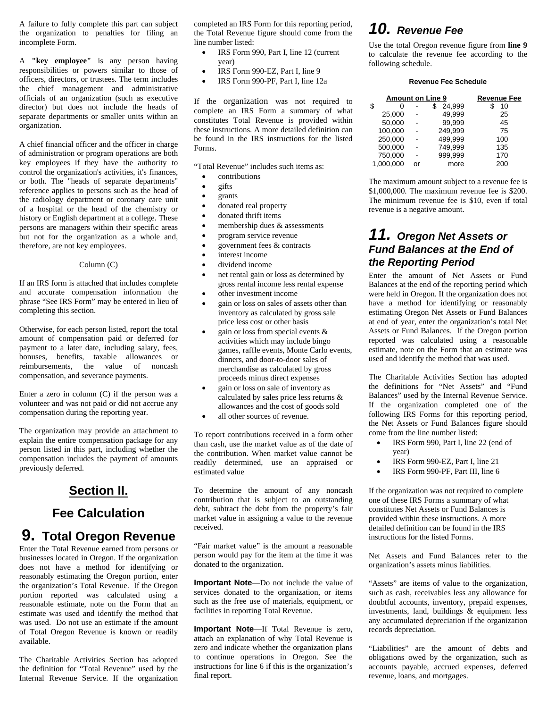A failure to fully complete this part can subject the organization to penalties for filing an incomplete Form.

A **"key employee"** is any person having responsibilities or powers similar to those of officers, directors, or trustees. The term includes the chief management and administrative officials of an organization (such as executive director) but does not include the heads of separate departments or smaller units within an organization.

A chief financial officer and the officer in charge of administration or program operations are both key employees if they have the authority to control the organization's activities, it's finances, or both. The "heads of separate departments" reference applies to persons such as the head of the radiology department or coronary care unit of a hospital or the head of the chemistry or history or English department at a college. These persons are managers within their specific areas but not for the organization as a whole and, therefore, are not key employees.

#### Column (C)

If an IRS form is attached that includes complete and accurate compensation information the phrase "See IRS Form" may be entered in lieu of completing this section.

Otherwise, for each person listed, report the total amount of compensation paid or deferred for payment to a later date, including salary, fees, bonuses, benefits, taxable allowances or reimbursements, the value of noncash compensation, and severance payments.

Enter a zero in column (C) if the person was a volunteer and was not paid or did not accrue any compensation during the reporting year.

The organization may provide an attachment to explain the entire compensation package for any person listed in this part, including whether the compensation includes the payment of amounts previously deferred.

### **Section II.**

#### **Fee Calculation**

# **9. Total Oregon Revenue**

Enter the Total Revenue earned from persons or businesses located in Oregon. If the organization does not have a method for identifying or reasonably estimating the Oregon portion, enter the organization's Total Revenue. If the Oregon portion reported was calculated using a reasonable estimate, note on the Form that an estimate was used and identify the method that was used. Do not use an estimate if the amount of Total Oregon Revenue is known or readily available.

The Charitable Activities Section has adopted the definition for "Total Revenue" used by the Internal Revenue Service. If the organization completed an IRS Form for this reporting period, the Total Revenue figure should come from the line number listed:

- IRS Form 990, Part I, line 12 (current year)
- IRS Form 990-EZ, Part I, line 9
- IRS Form 990-PF, Part I, line 12a

If the organization was not required to complete an IRS Form a summary of what constitutes Total Revenue is provided within these instructions. A more detailed definition can be found in the IRS instructions for the listed Forms.

"Total Revenue" includes such items as:

- contributions
- gifts
- grants
- donated real property
- donated thrift items
- membership dues & assessments
- program service revenue
- government fees & contracts
- interest income
- dividend income
- net rental gain or loss as determined by gross rental income less rental expense
- other investment income
- gain or loss on sales of assets other than inventory as calculated by gross sale price less cost or other basis
- gain or loss from special events & activities which may include bingo games, raffle events, Monte Carlo events, dinners, and door-to-door sales of merchandise as calculated by gross proceeds minus direct expenses
- gain or loss on sale of inventory as calculated by sales price less returns & allowances and the cost of goods sold
- all other sources of revenue.

To report contributions received in a form other than cash, use the market value as of the date of the contribution. When market value cannot be readily determined, use an appraised or estimated value

To determine the amount of any noncash contribution that is subject to an outstanding debt, subtract the debt from the property's fair market value in assigning a value to the revenue received.

"Fair market value" is the amount a reasonable person would pay for the item at the time it was donated to the organization.

**Important Note**—Do not include the value of services donated to the organization, or items such as the free use of materials, equipment, or facilities in reporting Total Revenue.

**Important Note**—If Total Revenue is zero, attach an explanation of why Total Revenue is zero and indicate whether the organization plans to continue operations in Oregon. See the instructions for line 6 if this is the organization's final report.

### *10. Revenue Fee*

Use the total Oregon revenue figure from **line 9** to calculate the revenue fee according to the following schedule.

#### **Revenue Fee Schedule**

| <b>Amount on Line 9</b> |  | <b>Revenue Fee</b> |     |
|-------------------------|--|--------------------|-----|
| \$<br>O                 |  | 24,999             | 10  |
| 25.000                  |  | 49.999             | 25  |
| 50,000                  |  | 99.999             | 45  |
| 100,000                 |  | 249.999            | 75  |
| 250,000                 |  | 499.999            | 100 |
| 500,000                 |  | 749.999            | 135 |
| 750.000                 |  | 999.999            | 170 |
| 1.000.000               |  | more               | 200 |

The maximum amount subject to a revenue fee is \$1,000,000. The maximum revenue fee is \$200. The minimum revenue fee is \$10, even if total revenue is a negative amount.

### *11. Oregon Net Assets or Fund Balances at the End of the Reporting Period*

Enter the amount of Net Assets or Fund Balances at the end of the reporting period which were held in Oregon. If the organization does not have a method for identifying or reasonably estimating Oregon Net Assets or Fund Balances at end of year, enter the organization's total Net Assets or Fund Balances. If the Oregon portion reported was calculated using a reasonable estimate, note on the Form that an estimate was used and identify the method that was used.

The Charitable Activities Section has adopted the definitions for "Net Assets" and "Fund Balances" used by the Internal Revenue Service. If the organization completed one of the following IRS Forms for this reporting period, the Net Assets or Fund Balances figure should come from the line number listed:

- IRS Form 990, Part I, line 22 (end of year)
- IRS Form 990-EZ, Part I, line 21
- IRS Form 990-PF, Part III, line 6

If the organization was not required to complete one of these IRS Forms a summary of what constitutes Net Assets or Fund Balances is provided within these instructions. A more detailed definition can be found in the IRS instructions for the listed Forms.

Net Assets and Fund Balances refer to the organization's assets minus liabilities.

"Assets" are items of value to the organization, such as cash, receivables less any allowance for doubtful accounts, inventory, prepaid expenses, investments, land, buildings & equipment less any accumulated depreciation if the organization records depreciation.

"Liabilities" are the amount of debts and obligations owed by the organization, such as accounts payable, accrued expenses, deferred revenue, loans, and mortgages.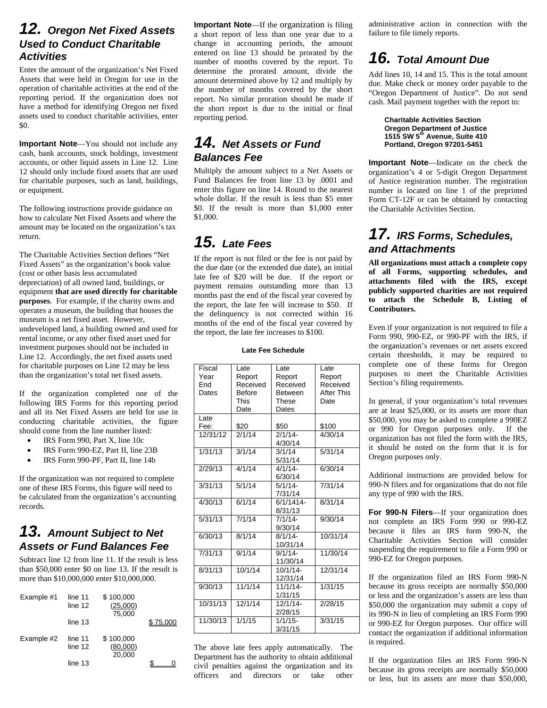### *12. Oregon Net Fixed Assets Used to Conduct Charitable Activities*

Enter the amount of the organization's Net Fixed Assets that were held in Oregon for use in the operation of charitable activities at the end of the reporting period. If the organization does not have a method for identifying Oregon net fixed assets used to conduct charitable activities, enter \$0.

**Important Note**—You should not include any cash, bank accounts, stock holdings, investment accounts, or other liquid assets in Line 12. Line 12 should only include fixed assets that are used for charitable purposes, such as land, buildings, or equipment.

The following instructions provide guidance on how to calculate Net Fixed Assets and where the amount may be located on the organization's tax return.

The Charitable Activities Section defines "Net Fixed Assets" as the organization's book value (cost or other basis less accumulated depreciation) of all owned land, buildings, or equipment **that are used directly for charitable purposes**. For example, if the charity owns and operates a museum, the building that houses the museum is a net fixed asset. However, undeveloped land, a building owned and used for rental income, or any other fixed asset used for investment purposes should not be included in Line 12. Accordingly, the net fixed assets used for charitable purposes on Line 12 may be less than the organization's total net fixed assets.

If the organization completed one of the following IRS Forms for this reporting period and all its Net Fixed Assets are held for use in conducting charitable activities, the figure should come from the line number listed:

- IRS Form 990, Part X, line 10c
- IRS Form 990-EZ, Part II, line 23B
- IRS Form 990-PF, Part II, line 14b

If the organization was not required to complete one of these IRS Forms, this figure will need to be calculated from the organization's accounting records.

### *13. Amount Subject to Net Assets or Fund Balances Fee*

Subtract line 12 from line 11. If the result is less than \$50,000 enter \$0 on line 13. If the result is more than \$10,000,000 enter \$10,000,000.

| Example #1 | line 11<br>line 12<br>line 13 | \$100,000<br>(25,000)<br>75,000 | 75 NN |
|------------|-------------------------------|---------------------------------|-------|
| Example #2 | line 11<br>line 12            | \$100,000<br>(80,000)<br>20.000 |       |
|            | line 13                       |                                 |       |

**Important Note**—If the organization is filing a short report of less than one year due to a change in accounting periods, the amount entered on line 13 should be prorated by the number of months covered by the report. To determine the prorated amount, divide the amount determined above by 12 and multiply by the number of months covered by the short report. No similar proration should be made if the short report is due to the initial or final reporting period.

### *14. Net Assets or Fund Balances Fee*

Multiply the amount subject to a Net Assets or Fund Balances fee from line 13 by .0001 and enter this figure on line 14. Round to the nearest whole dollar. If the result is less than \$5 enter \$0. If the result is more than \$1,000 enter \$1,000.

# *15. Late Fees*

If the report is not filed or the fee is not paid by the due date (or the extended due date), an initial late fee of \$20 will be due. If the report or payment remains outstanding more than 13 months past the end of the fiscal year covered by the report, the late fee will increase to \$50. If the delinquency is not corrected within 16 months of the end of the fiscal year covered by the report, the late fee increases to \$100.

#### **Late Fee Schedule**

| Fiscal   | Late          | Late           | Late              |
|----------|---------------|----------------|-------------------|
| Year     | Report        | Report         | Report            |
| End      | Received      | Received       | Received          |
| Dates    | <b>Before</b> | <b>Between</b> | <b>After This</b> |
|          | This          | These          | Date              |
|          | Date          | Dates          |                   |
| Late     |               |                |                   |
| Fee:     | \$20          | \$50           | \$100             |
| 12/31/12 | 2/1/14        | $2/1/14$ -     | 4/30/14           |
|          |               | 4/30/14        |                   |
| 1/31/13  | 3/1/14        | 3/1/14         | 5/31/14           |
|          |               | 5/31/14        |                   |
| 2/29/13  | 4/1/14        | $4/1/14$ -     | 6/30/14           |
|          |               | 6/30/14        |                   |
| 3/31/13  | 5/1/14        | $5/1/14$ -     | 7/31/14           |
|          |               | 7/31/14        |                   |
| 4/30/13  | 6/1/14        | 6/1/1414-      | 8/31/14           |
|          |               | 8/31/13        |                   |
| 5/31/13  | 7/1/14        | 7/1/14         | 9/30/14           |
|          |               | 9/30/14        |                   |
| 6/30/13  | 8/1/14        | $8/1/14$ -     | 10/31/14          |
|          |               | 10/31/14       |                   |
| 7/31/13  | 9/1/14        | $9/1/14$ -     | 11/30/14          |
|          |               | 11/30/14       |                   |
| 8/31/13  | 10/1/14       | $10/1/14$ -    | 12/31/14          |
|          |               | 12/31/14       |                   |
| 9/30/13  | 11/1/14       | 11/1/14        | 1/31/15           |
|          |               | 1/31/15        |                   |
| 10/31/13 | 12/1/14       | $12/1/14$ -    | 2/28/15           |
|          |               | 2/28/15        |                   |
| 11/30/13 | 1/1/15        | $1/1/15$ -     | 3/31/15           |
|          |               | 3/31/15        |                   |

The above late fees apply automatically. The Department has the authority to obtain additional civil penalties against the organization and its officers and directors or take other administrative action in connection with the failure to file timely reports.

# *16. Total Amount Due*

Add lines 10, 14 and 15. This is the total amount due. Make check or money order payable to the "Oregon Department of Justice". Do not send cash. Mail payment together with the report to:

 **Charitable Activities Section Oregon Department of Justice 1515 SW 5th Avenue, Suite 410 Portland, Oregon 97201-5451** 

**Important Note**—Indicate on the check the organization's 4 or 5-digit Oregon Department of Justice registration number. The registration number is located on line 1 of the preprinted Form CT-12F or can be obtained by contacting the Charitable Activities Section.

### *17. IRS Forms, Schedules, and Attachments*

**All organizations must attach a complete copy of all Forms, supporting schedules, and attachments filed with the IRS, except publicly supported charities are not required to attach the Schedule B, Listing of Contributors.** 

Even if your organization is not required to file a Form 990, 990-EZ, or 990-PF with the IRS, if the organization's revenues or net assets exceed certain thresholds, it may be required to complete one of these forms for Oregon purposes to meet the Charitable Activities Section's filing requirements.

In general, if your organization's total revenues are at least \$25,000, or its assets are more than \$50,000, you may be asked to complete a 990EZ or 990 for Oregon purposes only. If the organization has not filed the form with the IRS, it should be noted on the form that it is for Oregon purposes only.

Additional instructions are provided below for 990-N filers and for organizations that do not file any type of 990 with the IRS.

**For 990-N Filers**—If your organization does not complete an IRS Form 990 or 990-EZ because it files an IRS form 990-N, the Charitable Activities Section will consider suspending the requirement to file a Form 990 or 990-EZ for Oregon purposes.

If the organization filed an IRS Form 990-N because its gross receipts are normally \$50,000 or less and the organization's assets are less than \$50,000 the organization may submit a copy of its 990-N in lieu of completing an IRS Form 990 or 990-EZ for Oregon purposes. Our office will contact the organization if additional information is required.

If the organization files an IRS Form 990-N because its gross receipts are normally \$50,000 or less, but its assets are more than \$50,000,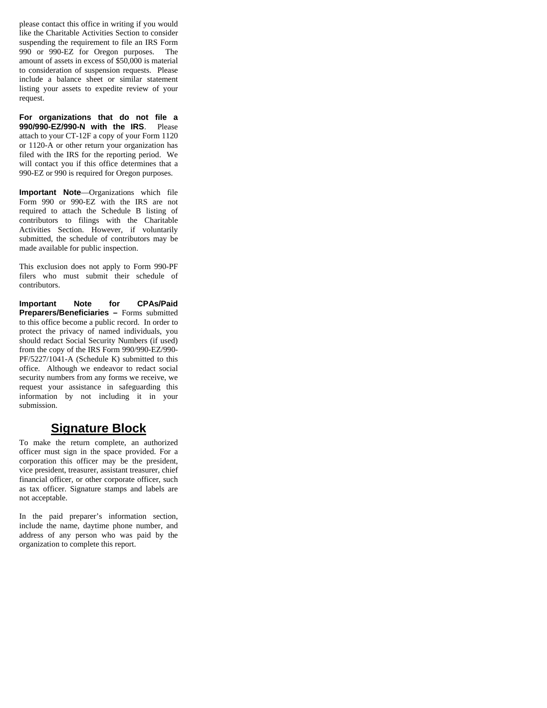please contact this office in writing if you would like the Charitable Activities Section to consider suspending the requirement to file an IRS Form 990 or 990-EZ for Oregon purposes. The amount of assets in excess of \$50,000 is material to consideration of suspension requests. Please include a balance sheet or similar statement listing your assets to expedite review of your request.

**For organizations that do not file a 990/990-EZ/990-N with the IRS**. Please attach to your CT-12F a copy of your Form 1120 or 1120-A or other return your organization has filed with the IRS for the reporting period. We will contact you if this office determines that a 990-EZ or 990 is required for Oregon purposes.

**Important Note**—Organizations which file Form 990 or 990-EZ with the IRS are not required to attach the Schedule B listing of contributors to filings with the Charitable Activities Section. However, if voluntarily submitted, the schedule of contributors may be made available for public inspection.

This exclusion does not apply to Form 990-PF filers who must submit their schedule of contributors.

**Important Note for CPAs/Paid Preparers/Beneficiaries –** Forms submitted to this office become a public record. In order to protect the privacy of named individuals, you should redact Social Security Numbers (if used) from the copy of the IRS Form 990/990-EZ/990- PF/5227/1041-A (Schedule K) submitted to this office. Although we endeavor to redact social security numbers from any forms we receive, we request your assistance in safeguarding this information by not including it in your submission.

#### **Signature Block**

To make the return complete, an authorized officer must sign in the space provided. For a corporation this officer may be the president, vice president, treasurer, assistant treasurer, chief financial officer, or other corporate officer, such as tax officer. Signature stamps and labels are not acceptable.

In the paid preparer's information section, include the name, daytime phone number, and address of any person who was paid by the organization to complete this report.